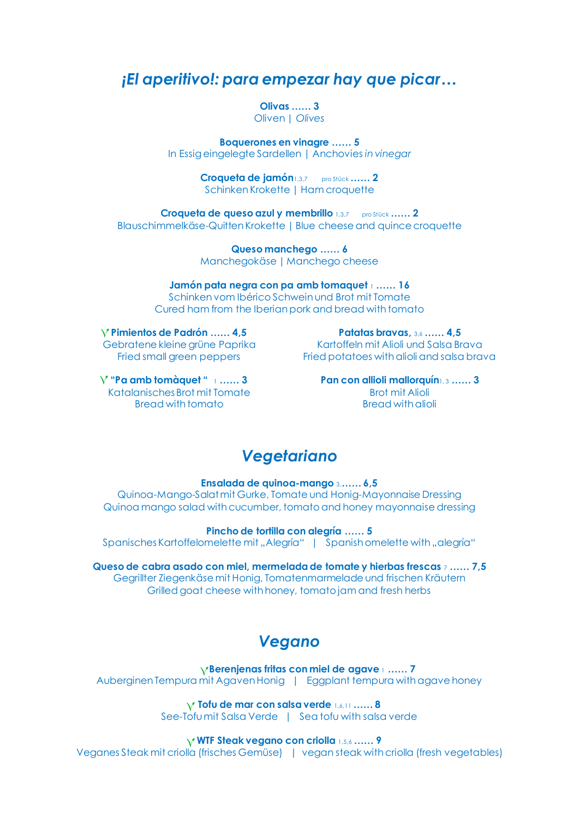#### *¡El aperitivo!: para empezar hay que picar…*

**Olivas …… 3** Oliven | *Olives*

**Boquerones en vinagre …… 5** In Essig eingelegte Sardellen | Anchovies *in vinegar*

> **Croqueta de jamón**1,3,7 pro Stück **…… 2**  Schinken Krokette | Ham croquette

**Croqueta de queso azul y membrillo** 1,3,7pro Stück **…… 2** Blauschimmelkäse-Quitten Krokette | Blue cheese and quince croquette

> **Queso manchego …… 6** Manchegokäse | Manchego cheese

**Jamón pata negra con pa amb tomaquet** <sup>1</sup> **…… 16** Schinken vom Ibérico Schwein und Brot mit Tomate Cured ham from the Iberian pork and bread with tomato

**Pimientos de Padrón …… 4,5**  Gebratene kleine grüne Paprika Fried small green peppers

Fried potatoes with alioli and salsa brava **Pan con allioli mallorquín**1, 3 **…… 3**

**Patatas bravas,** 3,6 **…… 4,5** Kartoffeln mit Alioli und Salsa Brava

**"Pa amb tomàquet "** <sup>1</sup> **…… 3**  Katalanisches Brot mit Tomate Bread with tomato

Brot mit Alioli Bread with alioli

#### *Vegetariano*

**Ensalada de quinoa-mango** 3,**…… 6,5**

Quinoa-Mango-Salatmit Gurke, Tomate und Honig-Mayonnaise Dressing Quinoa mango salad with cucumber, tomato and honey mayonnaise dressing

**Pincho de tortilla con alegría …… 5**

Spanisches Kartoffelomelette mit "Alegría" | Spanish omelette with "alegría"

**Queso de cabra asado con miel, mermelada de tomate y hierbas frescas** <sup>7</sup> **…… 7,5** Gegrillter Ziegenkäse mit Honig, Tomatenmarmelade und frischen Kräutern Grilled goat cheese with honey, tomato jam and fresh herbs

# *Vegano*

 **Berenjenas fritas con miel de agave** <sup>1</sup> **…… 7** Auberginen Tempura mit Agaven Honig | Eggplant tempura with agave honey

> **Tofu de mar con salsa verde** 1,6,11 **…… 8** See-Tofu mit Salsa Verde | Sea tofu with salsa verde

> > **WTF Steak vegano con criolla** 1,5,6 **…… 9**

Veganes Steak mit criolla (frisches Gemüse) | vegan steak with criolla (fresh vegetables)